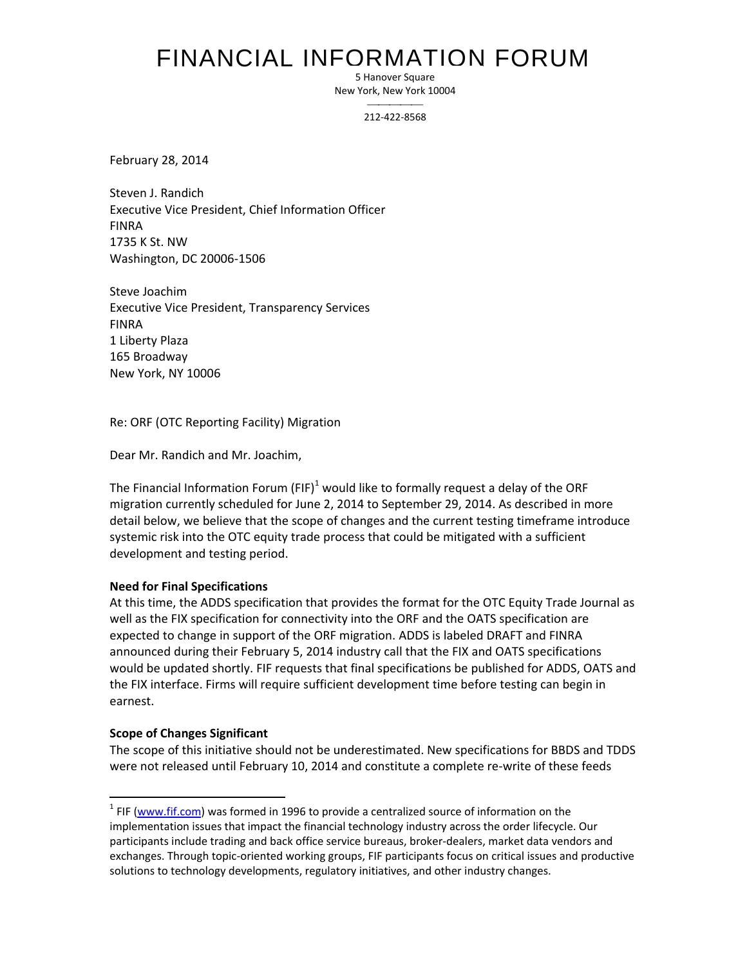### FINANCIAL INFORMATION FORUM

5 Hanover Square New York, New York 10004

> $\overline{\phantom{a}}$ 212-422-8568

February 28, 2014

Steven J. Randich Executive Vice President, Chief Information Officer FINRA 1735 K St. NW Washington, DC 20006-1506

Steve Joachim Executive Vice President, Transparency Services FINRA 1 Liberty Plaza 165 Broadway New York, NY 10006

Re: ORF (OTC Reporting Facility) Migration

Dear Mr. Randich and Mr. Joachim,

The Financial Information Forum (FIF)<sup>1</sup> would like to formally request a delay of the ORF migration currently scheduled for June 2, 2014 to September 29, 2014. As described in more detail below, we believe that the scope of changes and the current testing timeframe introduce systemic risk into the OTC equity trade process that could be mitigated with a sufficient development and testing period.

#### **Need for Final Specifications**

At this time, the ADDS specification that provides the format for the OTC Equity Trade Journal as well as the FIX specification for connectivity into the ORF and the OATS specification are expected to change in support of the ORF migration. ADDS is labeled DRAFT and FINRA announced during their February 5, 2014 industry call that the FIX and OATS specifications would be updated shortly. FIF requests that final specifications be published for ADDS, OATS and the FIX interface. Firms will require sufficient development time before testing can begin in earnest.

#### **Scope of Changes Significant**

 $\overline{\phantom{a}}$ 

The scope of this initiative should not be underestimated. New specifications for BBDS and TDDS were not released until February 10, 2014 and constitute a complete re-write of these feeds

 $1$  FIF (www.fif.com) was formed in 1996 to provide a centralized source of information on the implementation issues that impact the financial technology industry across the order lifecycle. Our participants include trading and back office service bureaus, broker-dealers, market data vendors and exchanges. Through topic-oriented working groups, FIF participants focus on critical issues and productive solutions to technology developments, regulatory initiatives, and other industry changes.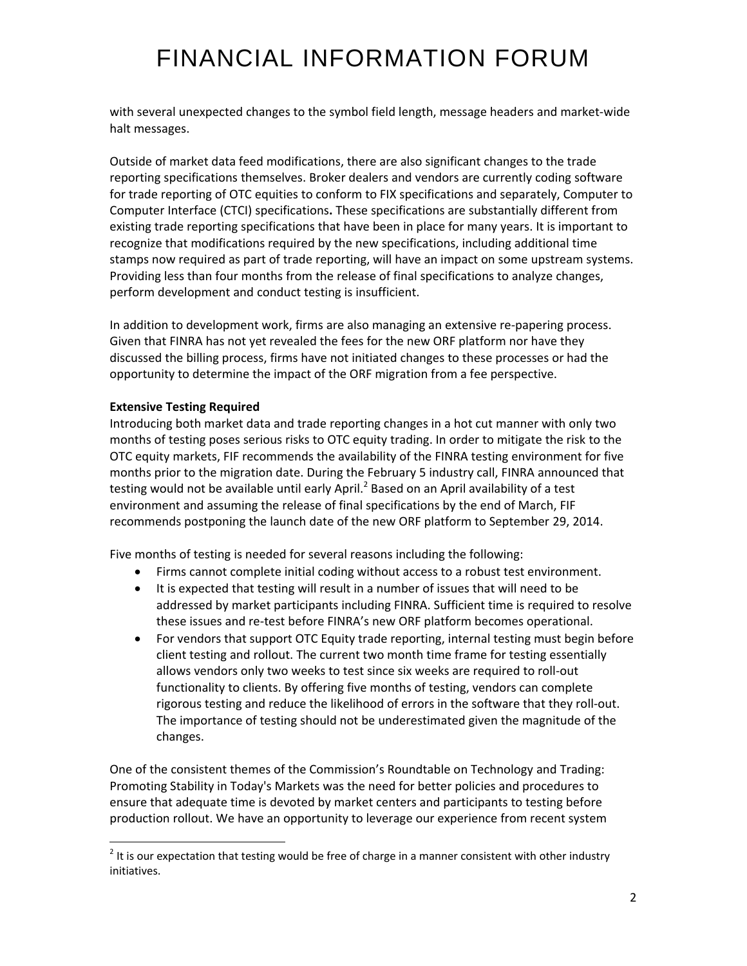# FINANCIAL INFORMATION FORUM

with several unexpected changes to the symbol field length, message headers and market-wide halt messages.

Outside of market data feed modifications, there are also significant changes to the trade reporting specifications themselves. Broker dealers and vendors are currently coding software for trade reporting of OTC equities to conform to FIX specifications and separately, Computer to Computer Interface (CTCI) specifications**.** These specifications are substantially different from existing trade reporting specifications that have been in place for many years. It is important to recognize that modifications required by the new specifications, including additional time stamps now required as part of trade reporting, will have an impact on some upstream systems. Providing less than four months from the release of final specifications to analyze changes, perform development and conduct testing is insufficient.

In addition to development work, firms are also managing an extensive re-papering process. Given that FINRA has not yet revealed the fees for the new ORF platform nor have they discussed the billing process, firms have not initiated changes to these processes or had the opportunity to determine the impact of the ORF migration from a fee perspective.

### **Extensive Testing Required**

 $\overline{\phantom{a}}$ 

Introducing both market data and trade reporting changes in a hot cut manner with only two months of testing poses serious risks to OTC equity trading. In order to mitigate the risk to the OTC equity markets, FIF recommends the availability of the FINRA testing environment for five months prior to the migration date. During the February 5 industry call, FINRA announced that testing would not be available until early April.<sup>2</sup> Based on an April availability of a test environment and assuming the release of final specifications by the end of March, FIF recommends postponing the launch date of the new ORF platform to September 29, 2014.

Five months of testing is needed for several reasons including the following:

- Firms cannot complete initial coding without access to a robust test environment.
- It is expected that testing will result in a number of issues that will need to be addressed by market participants including FINRA. Sufficient time is required to resolve these issues and re-test before FINRA's new ORF platform becomes operational.
- For vendors that support OTC Equity trade reporting, internal testing must begin before client testing and rollout. The current two month time frame for testing essentially allows vendors only two weeks to test since six weeks are required to roll-out functionality to clients. By offering five months of testing, vendors can complete rigorous testing and reduce the likelihood of errors in the software that they roll-out. The importance of testing should not be underestimated given the magnitude of the changes.

One of the consistent themes of the Commission's Roundtable on Technology and Trading: Promoting Stability in Today's Markets was the need for better policies and procedures to ensure that adequate time is devoted by market centers and participants to testing before production rollout. We have an opportunity to leverage our experience from recent system

 $2$  It is our expectation that testing would be free of charge in a manner consistent with other industry initiatives.